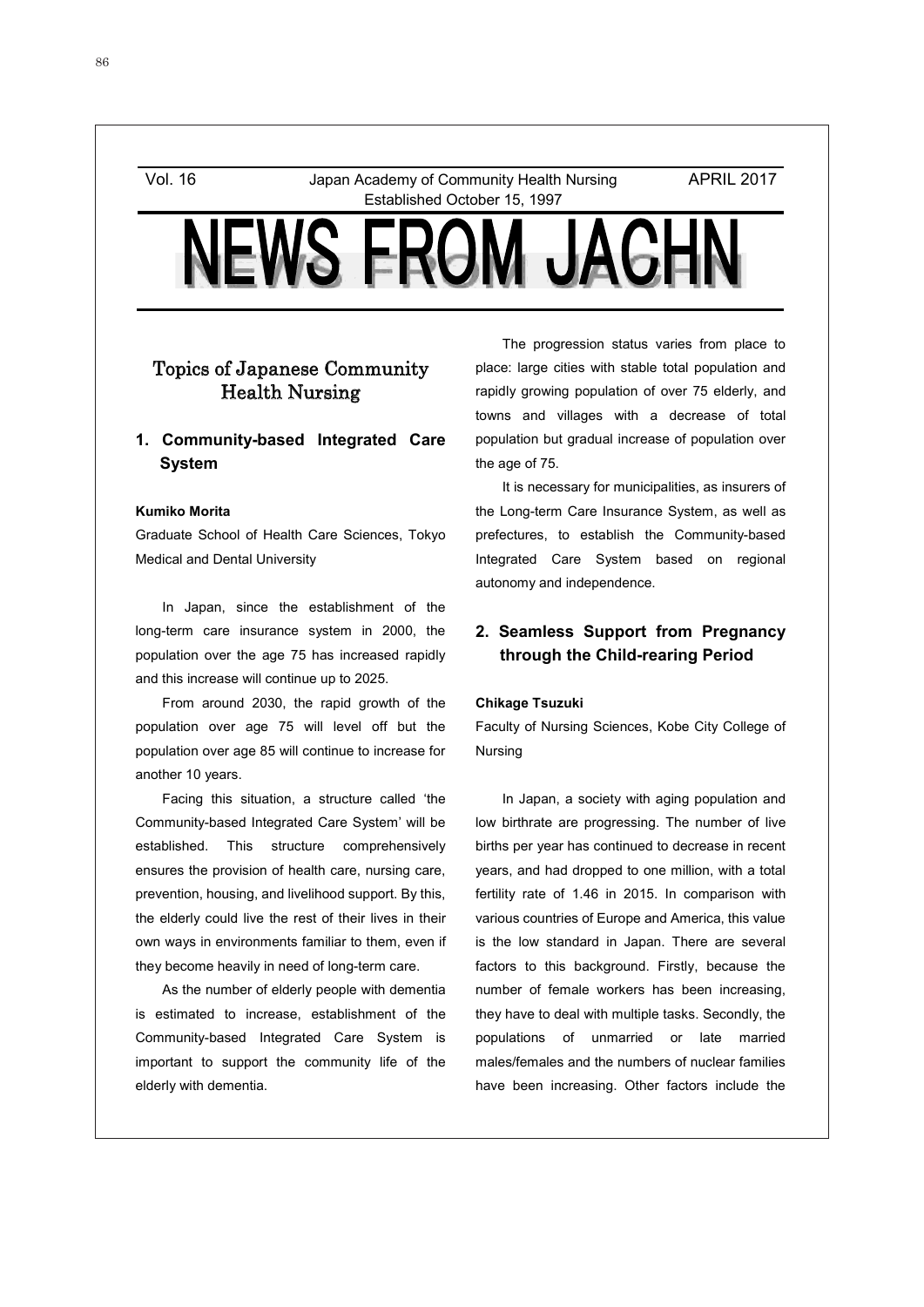Vol. 16 Japan Academy of Community Health Nursing Established October 15, 1997

APRIL 2017



# Topics of Japanese Community Health Nursing

## **1. Community-based Integrated Care System**

### **Kumiko Morita**

Graduate School of Health Care Sciences, Tokyo Medical and Dental University

In Japan, since the establishment of the long-term care insurance system in 2000, the population over the age 75 has increased rapidly and this increase will continue up to 2025.

From around 2030, the rapid growth of the population over age 75 will level off but the population over age 85 will continue to increase for another 10 years.

Facing this situation, a structure called 'the Community-based Integrated Care System' will be established. This structure comprehensively ensures the provision of health care, nursing care, prevention, housing, and livelihood support. By this, the elderly could live the rest of their lives in their own ways in environments familiar to them, even if they become heavily in need of long-term care.

As the number of elderly people with dementia is estimated to increase, establishment of the Community-based Integrated Care System is important to support the community life of the elderly with dementia.

The progression status varies from place to place: large cities with stable total population and rapidly growing population of over 75 elderly, and towns and villages with a decrease of total population but gradual increase of population over the age of 75.

It is necessary for municipalities, as insurers of the Long-term Care Insurance System, as well as prefectures, to establish the Community-based Integrated Care System based on regional autonomy and independence.

## **2. Seamless Support from Pregnancy through the Child-rearing Period**

### **Chikage Tsuzuki**

1

Faculty of Nursing Sciences, Kobe City College of Nursing

In Japan, a society with aging population and low birthrate are progressing. The number of live births per year has continued to decrease in recent years, and had dropped to one million, with a total fertility rate of 1.46 in 2015. In comparison with various countries of Europe and America, this value is the low standard in Japan. There are several factors to this background. Firstly, because the number of female workers has been increasing, they have to deal with multiple tasks. Secondly, the populations of unmarried or late married males/females and the numbers of nuclear families have been increasing. Other factors include the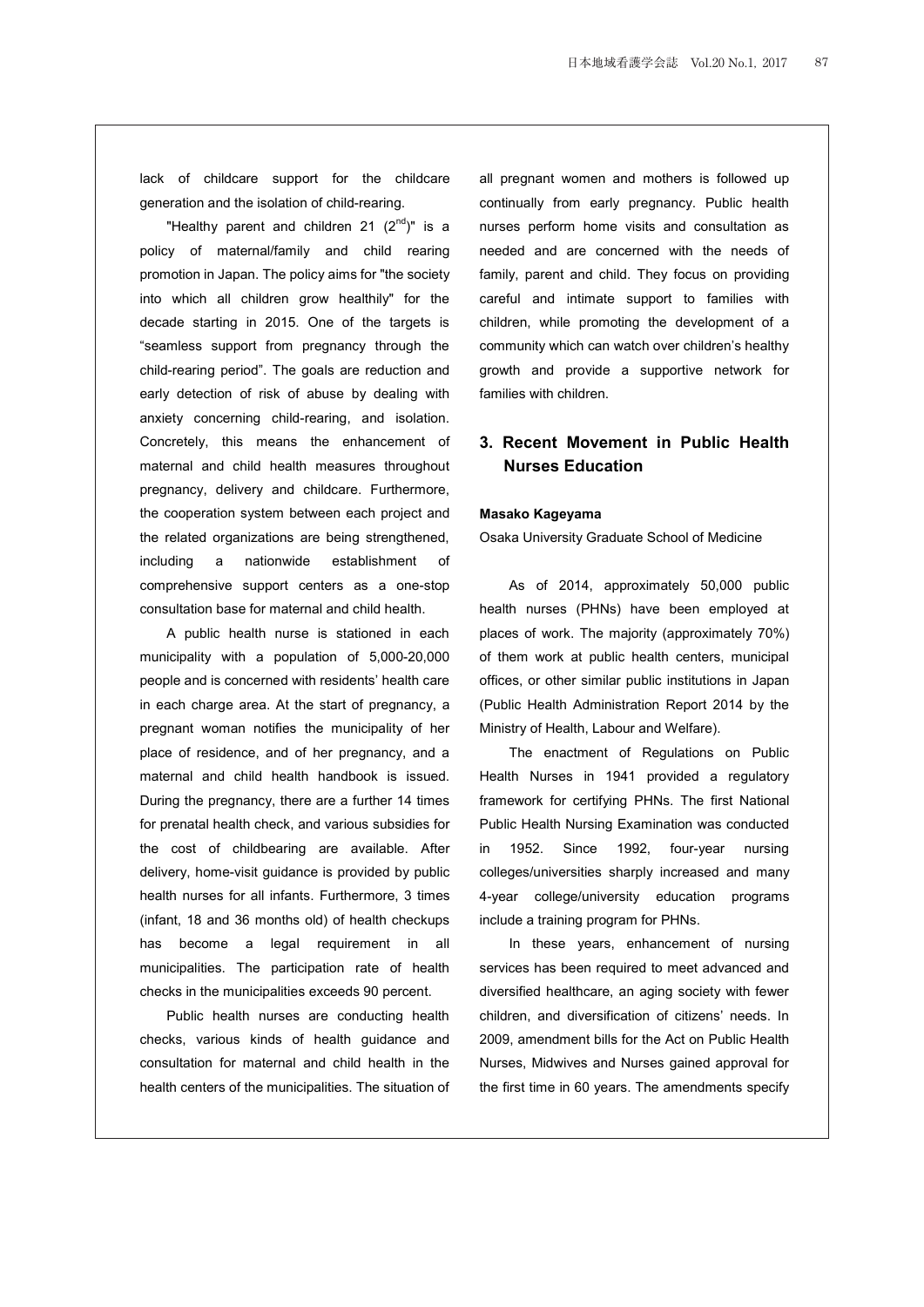lack of childcare support for the childcare generation and the isolation of child-rearing.

"Healthy parent and children 21  $(2^{nd})$ " is a policy of maternal/family and child rearing promotion in Japan. The policy aims for "the society into which all children grow healthily" for the decade starting in 2015. One of the targets is "seamless support from pregnancy through the child-rearing period". The goals are reduction and early detection of risk of abuse by dealing with anxiety concerning child-rearing, and isolation. Concretely, this means the enhancement of maternal and child health measures throughout pregnancy, delivery and childcare. Furthermore, the cooperation system between each project and the related organizations are being strengthened, including a nationwide establishment of comprehensive support centers as a one-stop consultation base for maternal and child health.

A public health nurse is stationed in each municipality with a population of 5,000-20,000 people and is concerned with residents' health care in each charge area. At the start of pregnancy, a pregnant woman notifies the municipality of her place of residence, and of her pregnancy, and a maternal and child health handbook is issued. During the pregnancy, there are a further 14 times for prenatal health check, and various subsidies for the cost of childbearing are available. After delivery, home-visit guidance is provided by public health nurses for all infants. Furthermore, 3 times (infant, 18 and 36 months old) of health checkups has become a legal requirement in all municipalities. The participation rate of health checks in the municipalities exceeds 90 percent.

Public health nurses are conducting health checks, various kinds of health guidance and consultation for maternal and child health in the health centers of the municipalities. The situation of all pregnant women and mothers is followed up continually from early pregnancy. Public health nurses perform home visits and consultation as needed and are concerned with the needs of family, parent and child. They focus on providing careful and intimate support to families with children, while promoting the development of a community which can watch over children's healthy growth and provide a supportive network for families with children.

## **3. Recent Movement in Public Health Nurses Education**

### **Masako Kageyama**

Osaka University Graduate School of Medicine

As of 2014, approximately 50,000 public health nurses (PHNs) have been employed at places of work. The majority (approximately 70%) of them work at public health centers, municipal offices, or other similar public institutions in Japan (Public Health Administration Report 2014 by the Ministry of Health, Labour and Welfare).

The enactment of Regulations on Public Health Nurses in 1941 provided a regulatory framework for certifying PHNs. The first National Public Health Nursing Examination was conducted in 1952. Since 1992, four-year nursing colleges/universities sharply increased and many 4-year college/university education programs include a training program for PHNs.

In these years, enhancement of nursing services has been required to meet advanced and diversified healthcare, an aging society with fewer children, and diversification of citizens' needs. In 2009, amendment bills for the Act on Public Health Nurses, Midwives and Nurses gained approval for the first time in 60 years. The amendments specify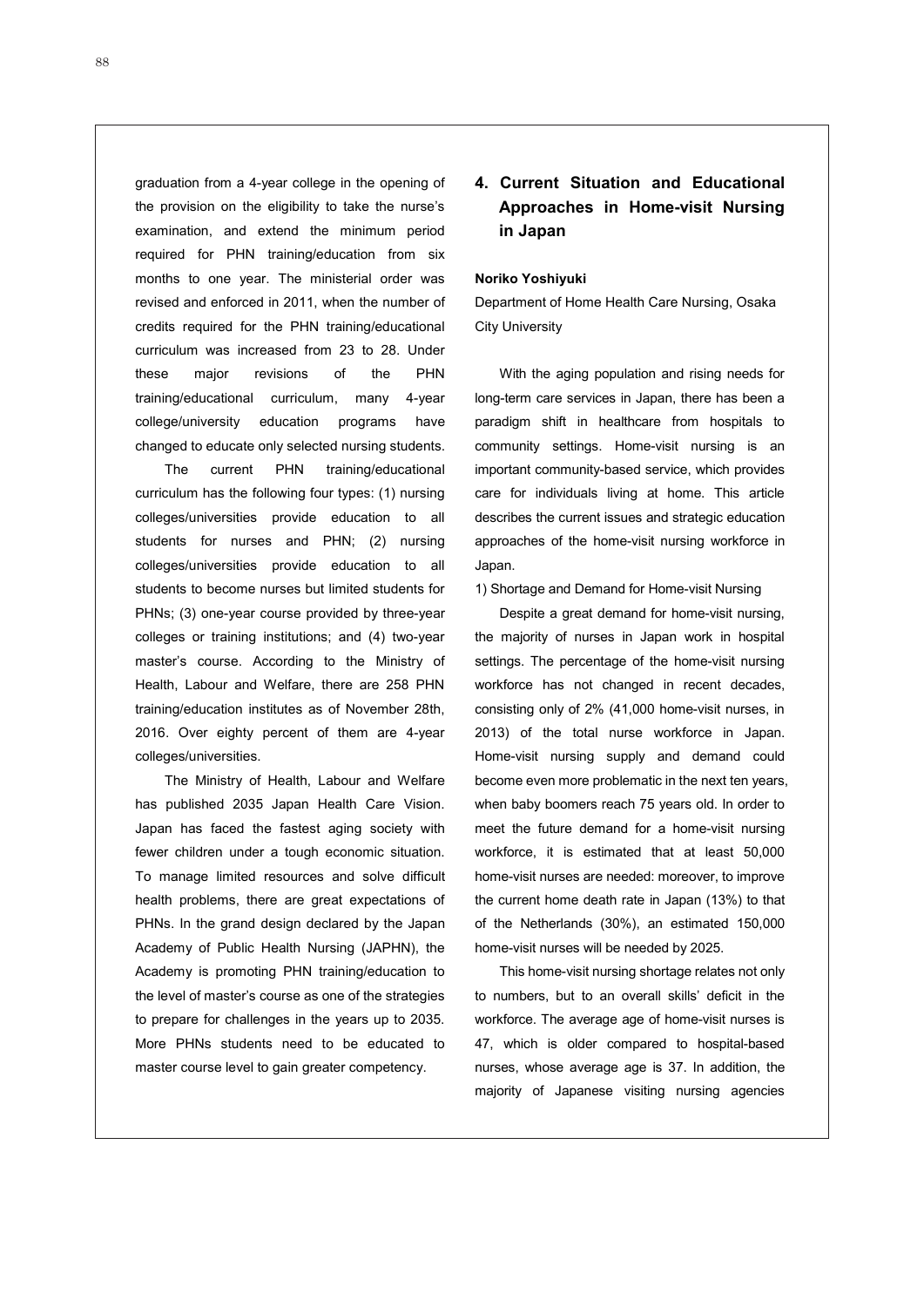graduation from a 4-year college in the opening of the provision on the eligibility to take the nurse's examination, and extend the minimum period required for PHN training/education from six months to one year. The ministerial order was revised and enforced in 2011, when the number of credits required for the PHN training/educational curriculum was increased from 23 to 28. Under these major revisions of the PHN training/educational curriculum, many 4-year college/university education programs have changed to educate only selected nursing students.

The current PHN training/educational curriculum has the following four types: (1) nursing colleges/universities provide education to all students for nurses and PHN; (2) nursing colleges/universities provide education to all students to become nurses but limited students for PHNs; (3) one-year course provided by three-year colleges or training institutions; and (4) two-year master's course. According to the Ministry of Health, Labour and Welfare, there are 258 PHN training/education institutes as of November 28th, 2016. Over eighty percent of them are 4-year colleges/universities.

The Ministry of Health, Labour and Welfare has published 2035 Japan Health Care Vision. Japan has faced the fastest aging society with fewer children under a tough economic situation. To manage limited resources and solve difficult health problems, there are great expectations of PHNs. In the grand design declared by the Japan Academy of Public Health Nursing (JAPHN), the Academy is promoting PHN training/education to the level of master's course as one of the strategies to prepare for challenges in the years up to 2035. More PHNs students need to be educated to master course level to gain greater competency.

## **4. Current Situation and Educational Approaches in Home-visit Nursing in Japan**

### **Noriko Yoshiyuki**

Department of Home Health Care Nursing, Osaka City University

With the aging population and rising needs for long-term care services in Japan, there has been a paradigm shift in healthcare from hospitals to community settings. Home-visit nursing is an important community-based service, which provides care for individuals living at home. This article describes the current issues and strategic education approaches of the home-visit nursing workforce in Japan.

1) Shortage and Demand for Home-visit Nursing

Despite a great demand for home-visit nursing, the majority of nurses in Japan work in hospital settings. The percentage of the home-visit nursing workforce has not changed in recent decades, consisting only of 2% (41,000 home-visit nurses, in 2013) of the total nurse workforce in Japan. Home-visit nursing supply and demand could become even more problematic in the next ten years, when baby boomers reach 75 years old. In order to meet the future demand for a home-visit nursing workforce, it is estimated that at least 50,000 home-visit nurses are needed: moreover, to improve the current home death rate in Japan (13%) to that of the Netherlands (30%), an estimated 150,000 home-visit nurses will be needed by 2025.

This home-visit nursing shortage relates not only to numbers, but to an overall skills' deficit in the workforce. The average age of home-visit nurses is 47, which is older compared to hospital-based nurses, whose average age is 37. In addition, the majority of Japanese visiting nursing agencies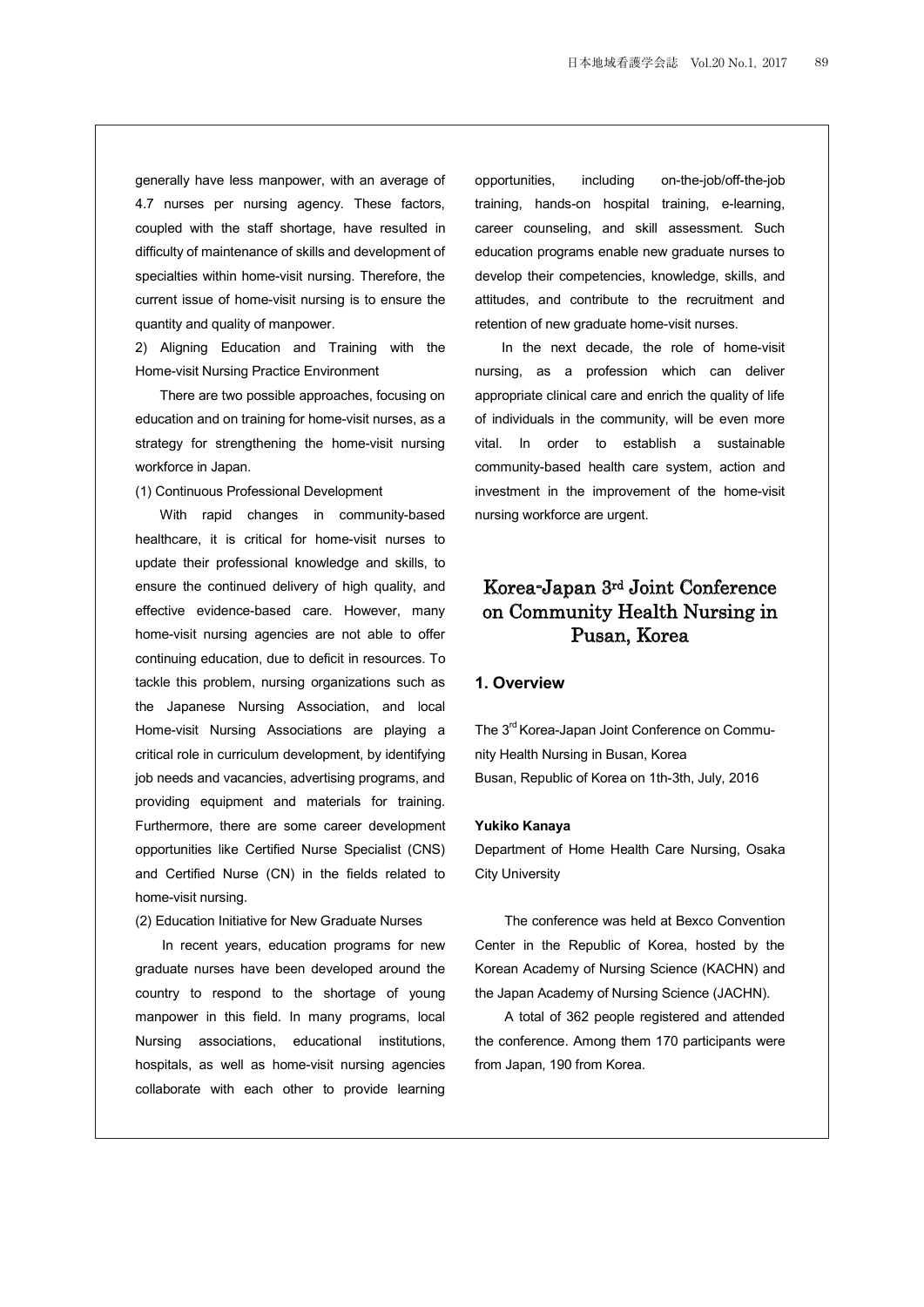generally have less manpower, with an average of 4.7 nurses per nursing agency. These factors, coupled with the staff shortage, have resulted in difficulty of maintenance of skills and development of specialties within home-visit nursing. Therefore, the current issue of home-visit nursing is to ensure the quantity and quality of manpower.

2) Aligning Education and Training with the Home-visit Nursing Practice Environment

There are two possible approaches, focusing on education and on training for home-visit nurses, as a strategy for strengthening the home-visit nursing workforce in Japan.

(1) Continuous Professional Development

With rapid changes in community-based healthcare, it is critical for home-visit nurses to update their professional knowledge and skills, to ensure the continued delivery of high quality, and effective evidence-based care. However, many home-visit nursing agencies are not able to offer continuing education, due to deficit in resources. To tackle this problem, nursing organizations such as the Japanese Nursing Association, and local Home-visit Nursing Associations are playing a critical role in curriculum development, by identifying job needs and vacancies, advertising programs, and providing equipment and materials for training. Furthermore, there are some career development opportunities like Certified Nurse Specialist (CNS) and Certified Nurse (CN) in the fields related to home-visit nursing.

(2) Education Initiative for New Graduate Nurses

In recent years, education programs for new graduate nurses have been developed around the country to respond to the shortage of young manpower in this field. In many programs, local Nursing associations, educational institutions, hospitals, as well as home-visit nursing agencies collaborate with each other to provide learning

opportunities, including on-the-job/off-the-job training, hands-on hospital training, e-learning, career counseling, and skill assessment. Such education programs enable new graduate nurses to develop their competencies, knowledge, skills, and attitudes, and contribute to the recruitment and retention of new graduate home-visit nurses.

In the next decade, the role of home-visit nursing, as a profession which can deliver appropriate clinical care and enrich the quality of life of individuals in the community, will be even more vital. In order to establish a sustainable community-based health care system, action and investment in the improvement of the home-visit nursing workforce are urgent.

# Korea-Japan 3rd Joint Conference on Community Health Nursing in Pusan, Korea

#### **1. Overview**

The 3<sup>rd</sup> Korea-Japan Joint Conference on Community Health Nursing in Busan, Korea Busan, Republic of Korea on 1th-3th, July, 2016

#### **Yukiko Kanaya**

Department of Home Health Care Nursing, Osaka City University

The conference was held at Bexco Convention Center in the Republic of Korea, hosted by the Korean Academy of Nursing Science (KACHN) and the Japan Academy of Nursing Science (JACHN).

A total of 362 people registered and attended the conference. Among them 170 participants were from Japan, 190 from Korea.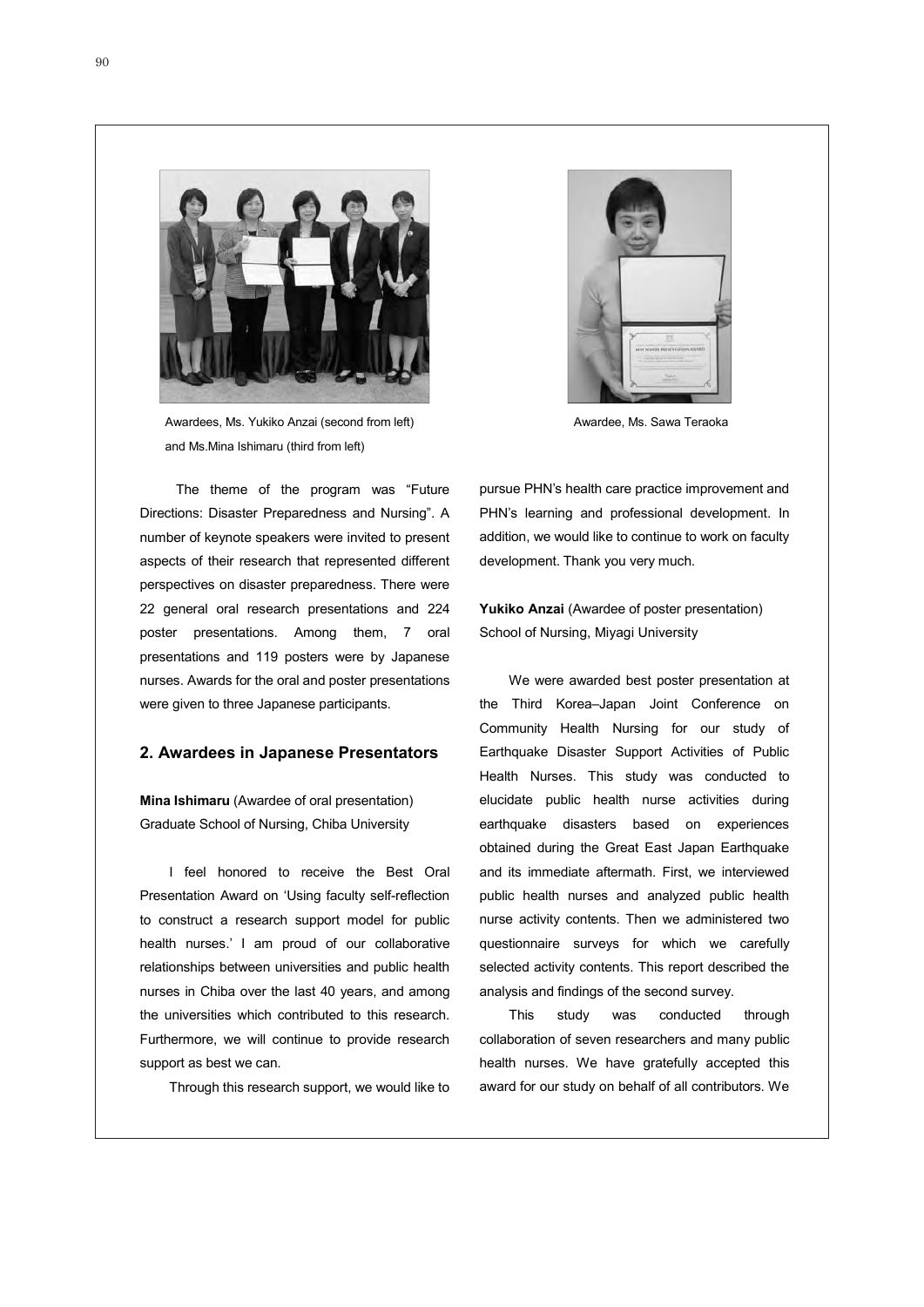

Awardees, Ms. Yukiko Anzai (second from left) and Ms.Mina Ishimaru (third from left)

 The theme of the program was "Future Directions: Disaster Preparedness and Nursing". A number of keynote speakers were invited to present aspects of their research that represented different perspectives on disaster preparedness. There were 22 general oral research presentations and 224 poster presentations. Among them, 7 oral presentations and 119 posters were by Japanese nurses. Awards for the oral and poster presentations were given to three Japanese participants.

## **2. Awardees in Japanese Presentators**

**Mina Ishimaru** (Awardee of oral presentation) Graduate School of Nursing, Chiba University

I feel honored to receive the Best Oral Presentation Award on 'Using faculty self-reflection to construct a research support model for public health nurses.' I am proud of our collaborative relationships between universities and public health nurses in Chiba over the last 40 years, and among the universities which contributed to this research. Furthermore, we will continue to provide research support as best we can.

Through this research support, we would like to



Awardee, Ms. Sawa Teraoka

pursue PHN's health care practice improvement and PHN's learning and professional development. In addition, we would like to continue to work on faculty development. Thank you very much.

**Yukiko Anzai** (Awardee of poster presentation) School of Nursing, Miyagi University

We were awarded best poster presentation at the Third Korea–Japan Joint Conference on Community Health Nursing for our study of Earthquake Disaster Support Activities of Public Health Nurses. This study was conducted to elucidate public health nurse activities during earthquake disasters based on experiences obtained during the Great East Japan Earthquake and its immediate aftermath. First, we interviewed public health nurses and analyzed public health nurse activity contents. Then we administered two questionnaire surveys for which we carefully selected activity contents. This report described the analysis and findings of the second survey.

This study was conducted through collaboration of seven researchers and many public health nurses. We have gratefully accepted this award for our study on behalf of all contributors. We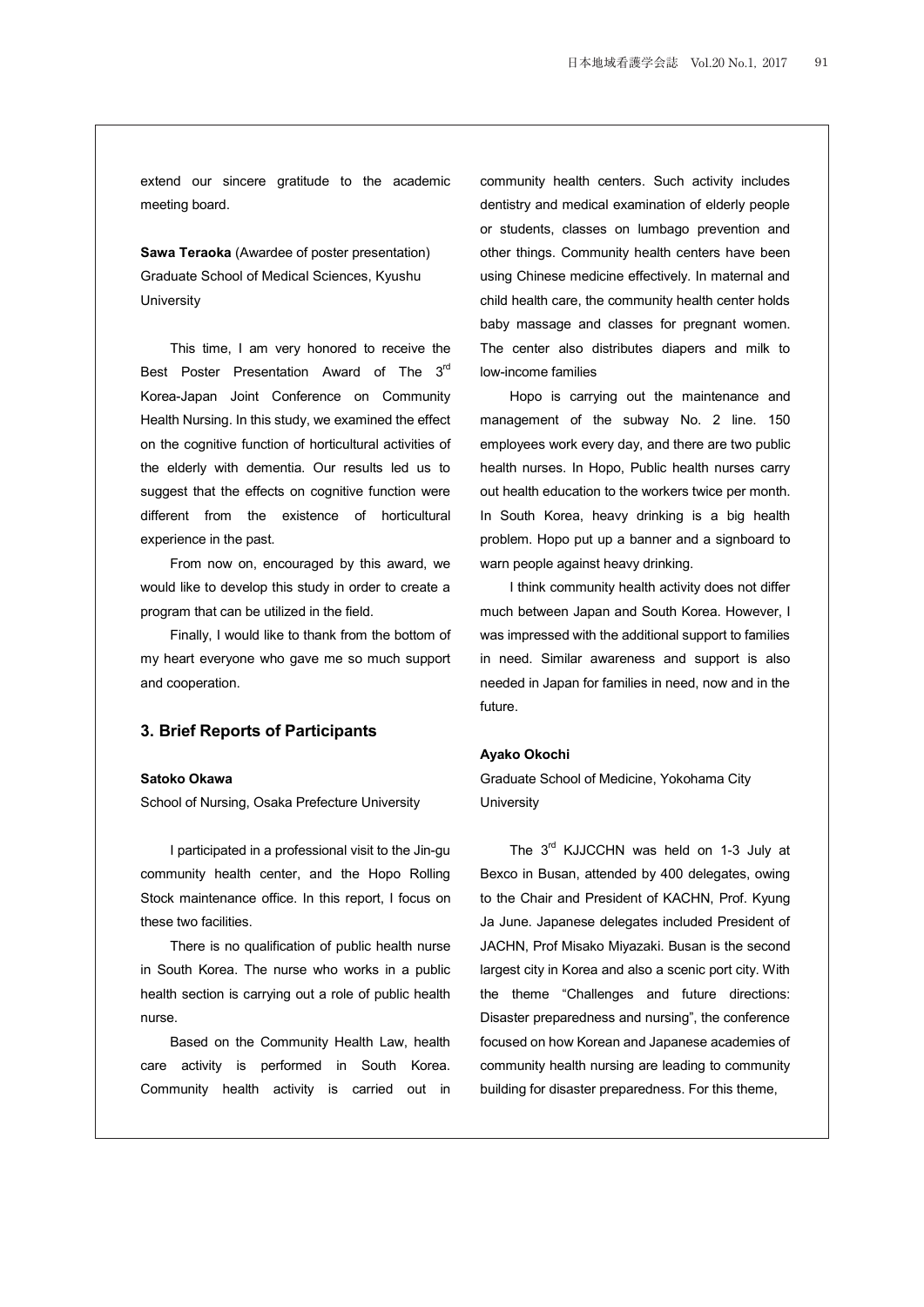extend our sincere gratitude to the academic meeting board.

**Sawa Teraoka** (Awardee of poster presentation) Graduate School of Medical Sciences, Kyushu University

This time, I am very honored to receive the Best Poster Presentation Award of The 3<sup>rd</sup> Korea-Japan Joint Conference on Community Health Nursing. In this study, we examined the effect on the cognitive function of horticultural activities of the elderly with dementia. Our results led us to suggest that the effects on cognitive function were different from the existence of horticultural experience in the past.

From now on, encouraged by this award, we would like to develop this study in order to create a program that can be utilized in the field.

Finally, I would like to thank from the bottom of my heart everyone who gave me so much support and cooperation.

### **3. Brief Reports of Participants**

### **Satoko Okawa**

School of Nursing, Osaka Prefecture University

I participated in a professional visit to the Jin-gu community health center, and the Hopo Rolling Stock maintenance office. In this report, I focus on these two facilities.

There is no qualification of public health nurse in South Korea. The nurse who works in a public health section is carrying out a role of public health nurse.

Based on the Community Health Law, health care activity is performed in South Korea. Community health activity is carried out in community health centers. Such activity includes dentistry and medical examination of elderly people or students, classes on lumbago prevention and other things. Community health centers have been using Chinese medicine effectively. In maternal and child health care, the community health center holds baby massage and classes for pregnant women. The center also distributes diapers and milk to low-income families

Hopo is carrying out the maintenance and management of the subway No. 2 line. 150 employees work every day, and there are two public health nurses. In Hopo, Public health nurses carry out health education to the workers twice per month. In South Korea, heavy drinking is a big health problem. Hopo put up a banner and a signboard to warn people against heavy drinking.

I think community health activity does not differ much between Japan and South Korea. However, I was impressed with the additional support to families in need. Similar awareness and support is also needed in Japan for families in need, now and in the future.

### **Ayako Okochi**

Graduate School of Medicine, Yokohama City **University** 

The 3<sup>rd</sup> KJJCCHN was held on 1-3 July at Bexco in Busan, attended by 400 delegates, owing to the Chair and President of KACHN, Prof. Kyung Ja June. Japanese delegates included President of JACHN, Prof Misako Miyazaki. Busan is the second largest city in Korea and also a scenic port city. With the theme "Challenges and future directions: Disaster preparedness and nursing", the conference focused on how Korean and Japanese academies of community health nursing are leading to community building for disaster preparedness. For this theme,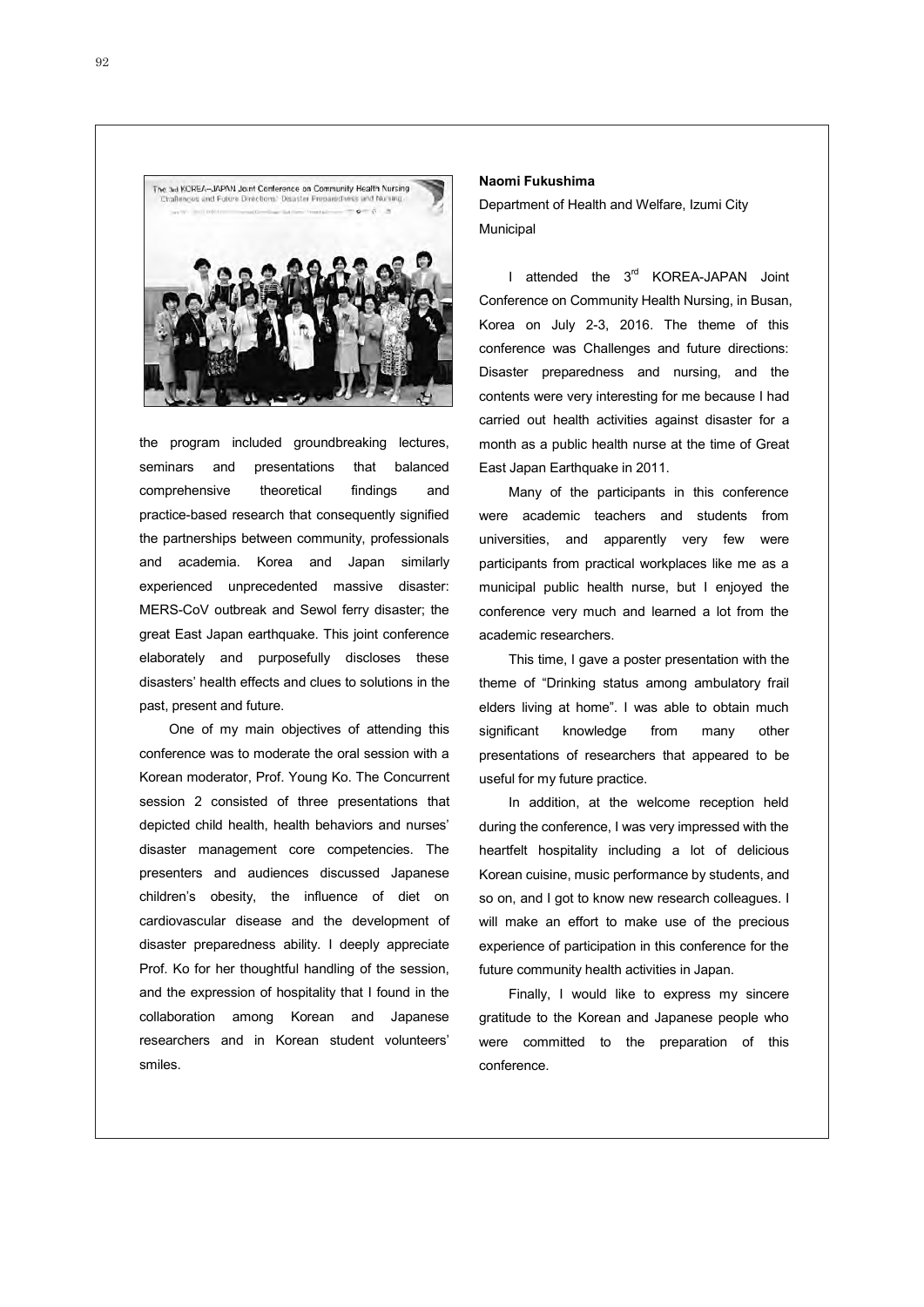

the program included groundbreaking lectures, seminars and presentations that balanced comprehensive theoretical findings and practice-based research that consequently signified the partnerships between community, professionals and academia. Korea and Japan similarly experienced unprecedented massive disaster: MERS-CoV outbreak and Sewol ferry disaster; the great East Japan earthquake. This joint conference elaborately and purposefully discloses these disasters' health effects and clues to solutions in the past, present and future.

One of my main objectives of attending this conference was to moderate the oral session with a Korean moderator, Prof. Young Ko. The Concurrent session 2 consisted of three presentations that depicted child health, health behaviors and nurses' disaster management core competencies. The presenters and audiences discussed Japanese children's obesity, the influence of diet on cardiovascular disease and the development of disaster preparedness ability. I deeply appreciate Prof. Ko for her thoughtful handling of the session, and the expression of hospitality that I found in the collaboration among Korean and Japanese researchers and in Korean student volunteers' smiles.

#### **Naomi Fukushima**

Department of Health and Welfare, Izumi City Municipal

I attended the 3<sup>rd</sup> KOREA-JAPAN Joint Conference on Community Health Nursing, in Busan, Korea on July 2-3, 2016. The theme of this conference was Challenges and future directions: Disaster preparedness and nursing, and the contents were very interesting for me because I had carried out health activities against disaster for a month as a public health nurse at the time of Great East Japan Earthquake in 2011.

Many of the participants in this conference were academic teachers and students from universities, and apparently very few were participants from practical workplaces like me as a municipal public health nurse, but I enjoyed the conference very much and learned a lot from the academic researchers.

This time, I gave a poster presentation with the theme of "Drinking status among ambulatory frail elders living at home". I was able to obtain much significant knowledge from many other presentations of researchers that appeared to be useful for my future practice.

In addition, at the welcome reception held during the conference, I was very impressed with the heartfelt hospitality including a lot of delicious Korean cuisine, music performance by students, and so on, and I got to know new research colleagues. I will make an effort to make use of the precious experience of participation in this conference for the future community health activities in Japan.

Finally, I would like to express my sincere gratitude to the Korean and Japanese people who were committed to the preparation of this conference.